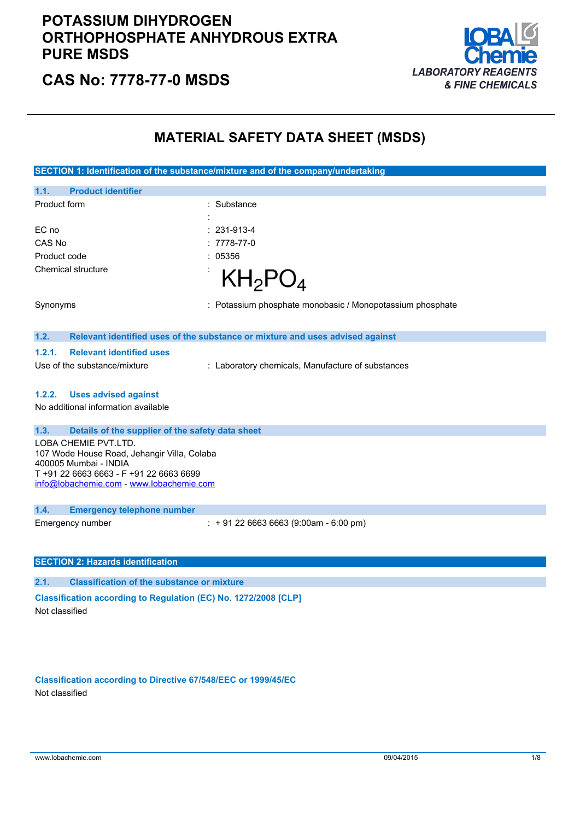

**CAS No: 7778-77-0 MSDS**

### **MATERIAL SAFETY DATA SHEET (MSDS)**

**SECTION 1: Identification of the substance/mixture and of the company/undertaking 1.1. Product identifier** Product form : Substance : Substance : EC no : 231-913-4 CAS No : 7778-77-0 Product code : 05356 Chemical structure  $KH_2PO_4$ Synonyms : Potassium phosphate monobasic / Monopotassium phosphate **1.2. Relevant identified uses of the substance or mixture and uses advised against 1.2.1. Relevant identified uses** Use of the substance/mixture : Laboratory chemicals, Manufacture of substances **1.2.2. Uses advised against** No additional information available **1.3. Details of the supplier of the safety data sheet** LOBA CHEMIE PVT.LTD. 107 Wode House Road, Jehangir Villa, Colaba 400005 Mumbai - INDIA T +91 22 6663 6663 - F +91 22 6663 6699 [info@lobachemie.com](mailto:info@lobachemie.com) - <www.lobachemie.com> **1.4. Emergency telephone number** Emergency number : + 91 22 6663 6663 (9:00am - 6:00 pm) **SECTION 2: Hazards identification 2.1. Classification of the substance or mixture Classification according to Regulation (EC) No. 1272/2008 [CLP]** Not classified

**Classification according to Directive 67/548/EEC or 1999/45/EC** Not classified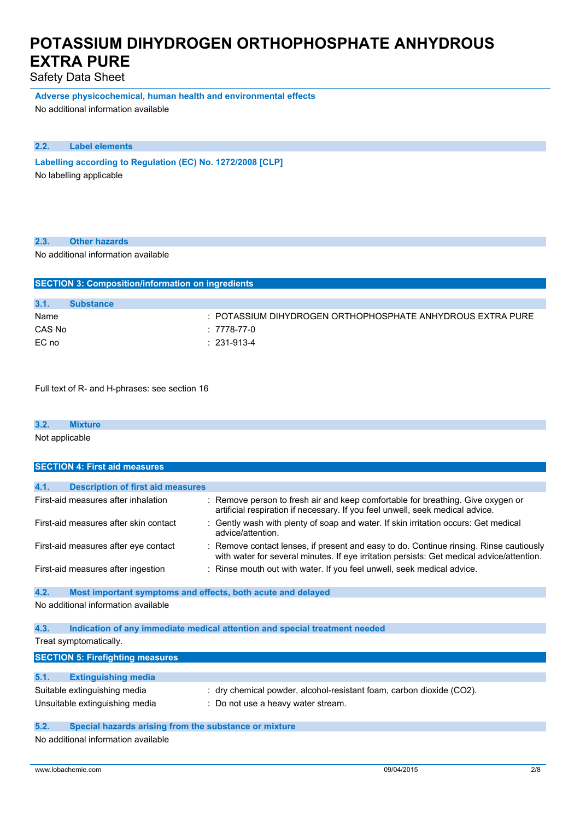Safety Data Sheet

**Adverse physicochemical, human health and environmental effects** No additional information available

### **2.2. Label elements**

**Labelling according to** Regulation (EC) No. 1272/2008 [CLP] No labelling applicable

### **2.3. Other hazards**

No additional information available

| <b>SECTION 3: Composition/information on ingredients</b> |                  |                                                            |  |
|----------------------------------------------------------|------------------|------------------------------------------------------------|--|
|                                                          |                  |                                                            |  |
| 3.1.                                                     | <b>Substance</b> |                                                            |  |
| Name                                                     |                  | : POTASSIUM DIHYDROGEN ORTHOPHOSPHATE ANHYDROUS EXTRA PURE |  |
| CAS No                                                   |                  | : 7778-77-0                                                |  |
| EC no                                                    |                  | $: 231-913-4$                                              |  |

Full text of R- and H-phrases: see section 16

| 3.2.           | <b>Mixture</b> |  |
|----------------|----------------|--|
| Not applicable |                |  |

| <b>SECTION 4: First aid measures</b> |                                                             |  |                                                                                                                                                                                     |
|--------------------------------------|-------------------------------------------------------------|--|-------------------------------------------------------------------------------------------------------------------------------------------------------------------------------------|
|                                      |                                                             |  |                                                                                                                                                                                     |
| 4.1.                                 | <b>Description of first aid measures</b>                    |  |                                                                                                                                                                                     |
|                                      | First-aid measures after inhalation                         |  | : Remove person to fresh air and keep comfortable for breathing. Give oxygen or<br>artificial respiration if necessary. If you feel unwell, seek medical advice.                    |
|                                      | First-aid measures after skin contact                       |  | : Gently wash with plenty of soap and water. If skin irritation occurs: Get medical<br>advice/attention.                                                                            |
|                                      | First-aid measures after eye contact                        |  | : Remove contact lenses, if present and easy to do. Continue rinsing. Rinse cautiously<br>with water for several minutes. If eye irritation persists: Get medical advice/attention. |
|                                      | First-aid measures after ingestion                          |  | : Rinse mouth out with water. If you feel unwell, seek medical advice.                                                                                                              |
| 4.2.                                 | Most important symptoms and effects, both acute and delayed |  |                                                                                                                                                                                     |
|                                      | No additional information available                         |  |                                                                                                                                                                                     |
| 4.3.                                 |                                                             |  | Indication of any immediate medical attention and special treatment needed                                                                                                          |

Treat symptomatically.

| <b>SECTION 5: Firefighting measures</b> |                                                                      |  |  |
|-----------------------------------------|----------------------------------------------------------------------|--|--|
|                                         |                                                                      |  |  |
| 5.1.<br><b>Extinguishing media</b>      |                                                                      |  |  |
| Suitable extinguishing media            | : dry chemical powder, alcohol-resistant foam, carbon dioxide (CO2). |  |  |
| Unsuitable extinguishing media          | : Do not use a heavy water stream.                                   |  |  |

#### **5.2. Special hazards arising from the substance or mixture**

No additional information available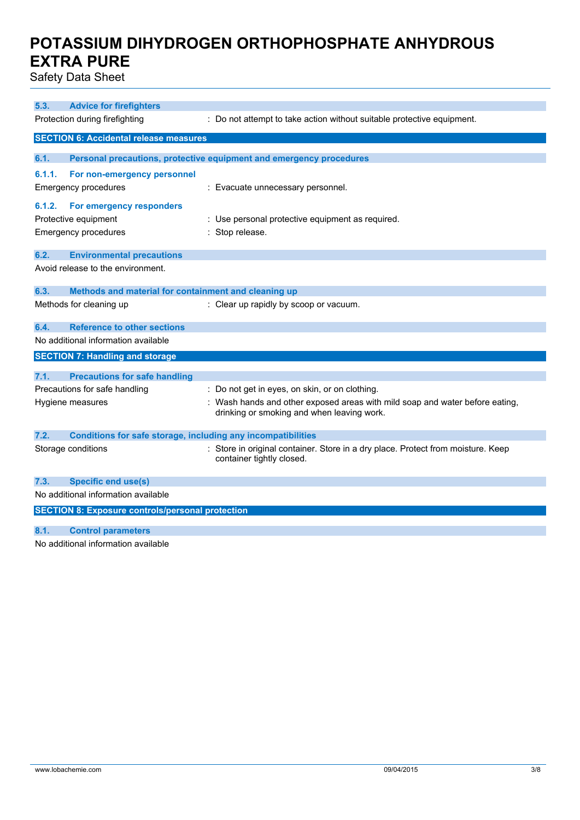Safety Data Sheet

| 5.3.   | <b>Advice for firefighters</b>                                      |                                                                                                                            |
|--------|---------------------------------------------------------------------|----------------------------------------------------------------------------------------------------------------------------|
|        | Protection during firefighting                                      | : Do not attempt to take action without suitable protective equipment.                                                     |
|        | <b>SECTION 6: Accidental release measures</b>                       |                                                                                                                            |
| 6.1.   |                                                                     | Personal precautions, protective equipment and emergency procedures                                                        |
| 6.1.1. | For non-emergency personnel                                         |                                                                                                                            |
|        | <b>Emergency procedures</b>                                         | : Evacuate unnecessary personnel.                                                                                          |
| 6.1.2. | For emergency responders                                            |                                                                                                                            |
|        | Protective equipment                                                | : Use personal protective equipment as required.                                                                           |
|        | <b>Emergency procedures</b>                                         | Stop release.                                                                                                              |
| 6.2.   | <b>Environmental precautions</b>                                    |                                                                                                                            |
|        | Avoid release to the environment.                                   |                                                                                                                            |
| 6.3.   | Methods and material for containment and cleaning up                |                                                                                                                            |
|        | Methods for cleaning up                                             | : Clear up rapidly by scoop or vacuum.                                                                                     |
| 6.4.   | <b>Reference to other sections</b>                                  |                                                                                                                            |
|        | No additional information available                                 |                                                                                                                            |
|        | <b>SECTION 7: Handling and storage</b>                              |                                                                                                                            |
| 7.1.   | <b>Precautions for safe handling</b>                                |                                                                                                                            |
|        | Precautions for safe handling                                       | : Do not get in eyes, on skin, or on clothing.                                                                             |
|        | Hygiene measures                                                    | : Wash hands and other exposed areas with mild soap and water before eating,<br>drinking or smoking and when leaving work. |
| 7.2.   | <b>Conditions for safe storage, including any incompatibilities</b> |                                                                                                                            |
|        | Storage conditions                                                  | : Store in original container. Store in a dry place. Protect from moisture. Keep<br>container tightly closed.              |
| 7.3.   | <b>Specific end use(s)</b>                                          |                                                                                                                            |
|        | No additional information available                                 |                                                                                                                            |
|        | <b>SECTION 8: Exposure controls/personal protection</b>             |                                                                                                                            |
| 8.1.   | <b>Control parameters</b>                                           |                                                                                                                            |

No additional information available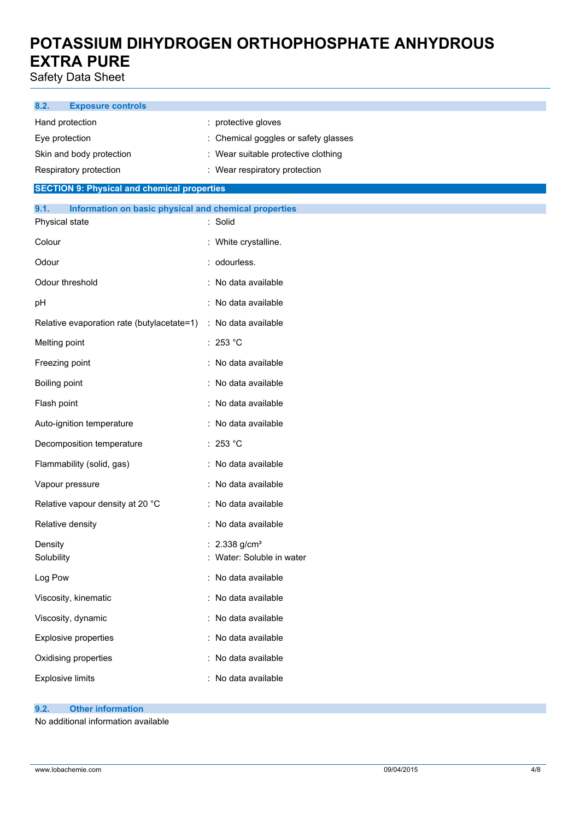Safety Data Sheet

| 8.2.<br><b>Exposure controls</b>                              |                                                        |
|---------------------------------------------------------------|--------------------------------------------------------|
| Hand protection                                               | protective gloves                                      |
| Eye protection                                                | Chemical goggles or safety glasses                     |
| Skin and body protection                                      | : Wear suitable protective clothing                    |
| Respiratory protection                                        | : Wear respiratory protection                          |
| <b>SECTION 9: Physical and chemical properties</b>            |                                                        |
| 9.1.<br>Information on basic physical and chemical properties |                                                        |
| Physical state                                                | : Solid                                                |
| Colour                                                        | : White crystalline.                                   |
| Odour                                                         | : odourless.                                           |
| Odour threshold                                               | : No data available                                    |
| pH                                                            | : No data available                                    |
| Relative evaporation rate (butylacetate=1)                    | : No data available                                    |
| Melting point                                                 | : 253 °C                                               |
| Freezing point                                                | : No data available                                    |
| Boiling point                                                 | : No data available                                    |
| Flash point                                                   | : No data available                                    |
| Auto-ignition temperature                                     | : No data available                                    |
| Decomposition temperature                                     | : 253 °C                                               |
| Flammability (solid, gas)                                     | : No data available                                    |
| Vapour pressure                                               | : No data available                                    |
| Relative vapour density at 20 °C                              | : No data available                                    |
| Relative density                                              | : No data available                                    |
| Density<br>Solubility                                         | : $2.338$ g/cm <sup>3</sup><br>Water: Soluble in water |
| Log Pow                                                       | : No data available                                    |
| Viscosity, kinematic                                          | : No data available                                    |
| Viscosity, dynamic                                            | : No data available                                    |
| Explosive properties                                          | : No data available                                    |
| Oxidising properties                                          | : No data available                                    |

#### **9.2. Other information**

No additional information available

Explosive limits **Explosive Limits Explosive Limits Explosive Limits Explosive Limits EXPLOSIVE 2018**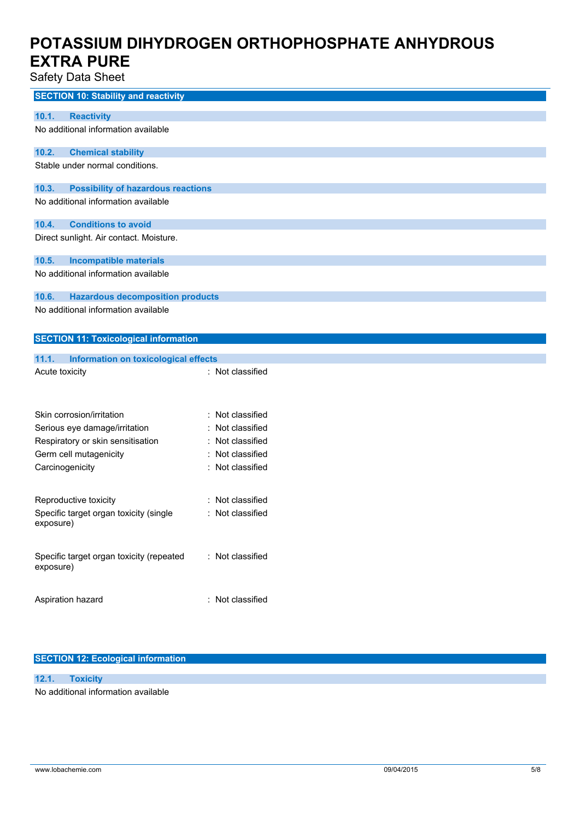statu Data Oh

| Safety Data Sheet                                  |                  |  |
|----------------------------------------------------|------------------|--|
| <b>SECTION 10: Stability and reactivity</b>        |                  |  |
| 10.1.<br><b>Reactivity</b>                         |                  |  |
| No additional information available                |                  |  |
| 10.2.<br><b>Chemical stability</b>                 |                  |  |
| Stable under normal conditions.                    |                  |  |
| 10.3.<br><b>Possibility of hazardous reactions</b> |                  |  |
| No additional information available                |                  |  |
| <b>Conditions to avoid</b><br>10.4.                |                  |  |
| Direct sunlight. Air contact. Moisture.            |                  |  |
| 10.5.<br><b>Incompatible materials</b>             |                  |  |
| No additional information available                |                  |  |
| 10.6.<br><b>Hazardous decomposition products</b>   |                  |  |
| No additional information available                |                  |  |
| <b>SECTION 11: Toxicological information</b>       |                  |  |
| 11.1.<br>Information on toxicological effects      |                  |  |
| Acute toxicity                                     | : Not classified |  |
|                                                    |                  |  |
| Skin corrosion/irritation                          | Not classified   |  |
| Serious eye damage/irritation                      | Not classified   |  |
| Respiratory or skin sensitisation                  | Not classified   |  |
| Germ cell mutagenicity                             | Not classified   |  |
| Carcinogenicity                                    | Not classified   |  |
| Reproductive toxicity                              | : Not classified |  |
| Specific target organ toxicity (single             | : Not classified |  |
| exposure)                                          |                  |  |
| Specific target organ toxicity (repeated           | : Not classified |  |
| exposure)                                          |                  |  |
| Aspiration hazard                                  | : Not classified |  |
|                                                    |                  |  |

### **SECTION 12: Ecological information**

### **12.1. Toxicity**

No additional information available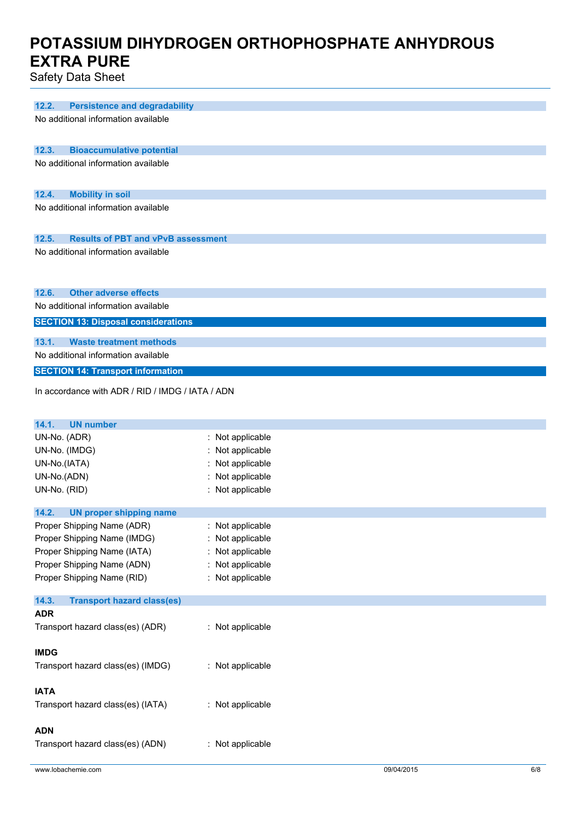Safety Data Sheet

| 12.2.<br><b>Persistence and degradability</b>      |                  |
|----------------------------------------------------|------------------|
| No additional information available                |                  |
|                                                    |                  |
|                                                    |                  |
| 12.3.<br><b>Bioaccumulative potential</b>          |                  |
| No additional information available                |                  |
|                                                    |                  |
| 12.4.<br><b>Mobility in soil</b>                   |                  |
| No additional information available                |                  |
|                                                    |                  |
|                                                    |                  |
| <b>Results of PBT and vPvB assessment</b><br>12.5. |                  |
| No additional information available                |                  |
|                                                    |                  |
|                                                    |                  |
| 12.6.<br><b>Other adverse effects</b>              |                  |
|                                                    |                  |
| No additional information available                |                  |
| <b>SECTION 13: Disposal considerations</b>         |                  |
| 13.1.<br><b>Waste treatment methods</b>            |                  |
| No additional information available                |                  |
|                                                    |                  |
| <b>SECTION 14: Transport information</b>           |                  |
| In accordance with ADR / RID / IMDG / IATA / ADN   |                  |
|                                                    |                  |
|                                                    |                  |
| 14.1.<br><b>UN number</b>                          |                  |
| UN-No. (ADR)                                       | : Not applicable |
| UN-No. (IMDG)                                      | : Not applicable |
| UN-No.(IATA)                                       | Not applicable   |
| UN-No.(ADN)                                        | Not applicable   |
| UN-No. (RID)                                       | : Not applicable |
|                                                    |                  |
| 14.2.<br><b>UN proper shipping name</b>            |                  |
| Proper Shipping Name (ADR)                         | : Not applicable |
| Proper Shipping Name (IMDG)                        | : Not applicable |
| Proper Shipping Name (IATA)                        | Not applicable   |
|                                                    |                  |
| Proper Shipping Name (ADN)                         | : Not applicable |
| Proper Shipping Name (RID)                         | : Not applicable |
| 14.3.<br><b>Transport hazard class(es)</b>         |                  |
| <b>ADR</b>                                         |                  |
|                                                    |                  |
| Transport hazard class(es) (ADR)                   | : Not applicable |
|                                                    |                  |
| <b>IMDG</b>                                        |                  |
| Transport hazard class(es) (IMDG)                  | : Not applicable |
|                                                    |                  |
| <b>IATA</b>                                        |                  |
| Transport hazard class(es) (IATA)                  | : Not applicable |
|                                                    |                  |
| <b>ADN</b>                                         |                  |
| Transport hazard class(es) (ADN)                   | : Not applicable |
|                                                    |                  |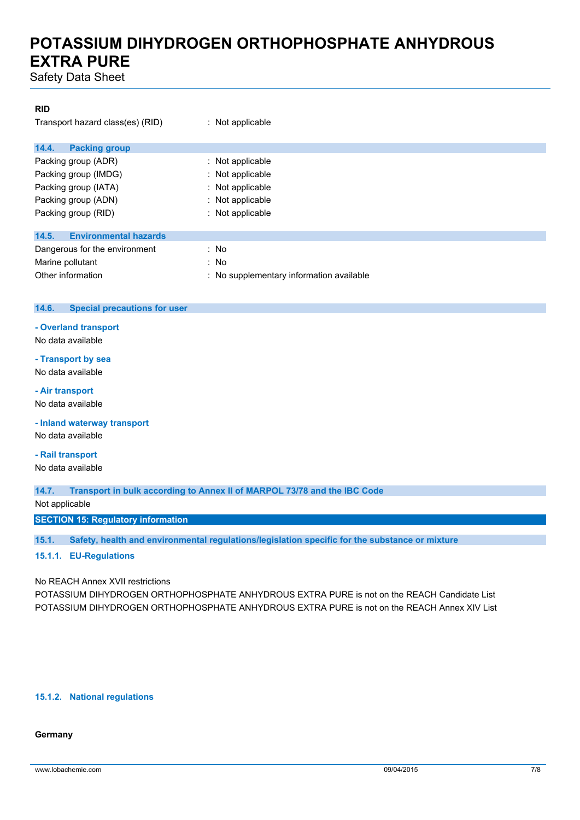Safety Data Sheet

#### **RID**

| Transport hazard class(es) (RID)      | : Not applicable                         |
|---------------------------------------|------------------------------------------|
| 14.4.<br><b>Packing group</b>         |                                          |
| Packing group (ADR)                   | : Not applicable                         |
| Packing group (IMDG)                  | : Not applicable                         |
| Packing group (IATA)                  | : Not applicable                         |
| Packing group (ADN)                   | : Not applicable                         |
| Packing group (RID)                   | $:$ Not applicable                       |
| <b>Environmental hazards</b><br>14.5. |                                          |
| Dangerous for the environment         | : No                                     |
| Marine pollutant                      | : No                                     |
| Other information                     | : No supplementary information available |

#### **14.6. Special precautions for user**

#### **- Overland transport**

No data available

### **- Transport by sea**

No data available

### **- Air transport**

No data available

**- Inland waterway transport**

No data available

#### **- Rail transport**

No data available

#### **14.7. Transport in bulk according to Annex II of MARPOL 73/78 and the IBC Code**

Not applicable

**SECTION 15: Regulatory information**

**15.1. Safety, health and environmental regulations/legislation specific for the substance or mixture**

#### **15.1.1. EU-Regulations**

#### No REACH Annex XVII restrictions

POTASSIUM DIHYDROGEN ORTHOPHOSPHATE ANHYDROUS EXTRA PURE is not on the REACH Candidate List POTASSIUM DIHYDROGEN ORTHOPHOSPHATE ANHYDROUS EXTRA PURE is not on the REACH Annex XIV List

#### **15.1.2. National regulations**

#### **Germany**

www.lobachemie.com 09/04/2015 7/8